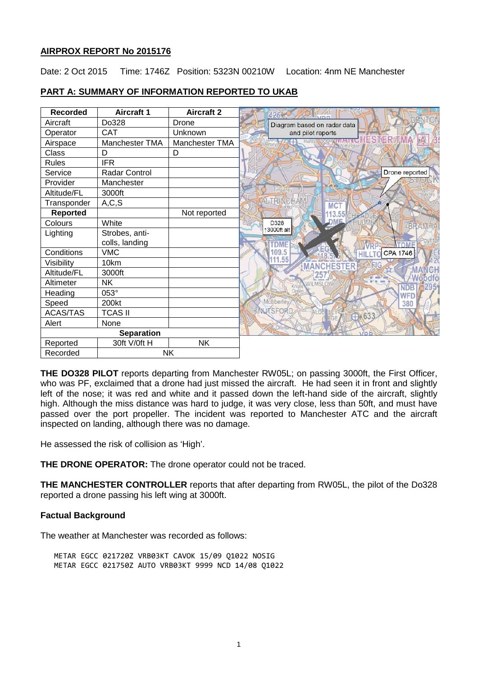# **AIRPROX REPORT No 2015176**

Date: 2 Oct 2015 Time: 1746Z Position: 5323N 00210W Location: 4nm NE Manchester

| <b>Recorded</b>       | <b>Aircraft 1</b> | <b>Aircraft 2</b> |                                       |
|-----------------------|-------------------|-------------------|---------------------------------------|
| Aircraft              | Do328             | Drone             | Diagram based on radar data           |
| Operator              | CAT               | Unknown           | and pilot reports                     |
| Airspace              | Manchester TMA    | Manchester TMA    | ES                                    |
| Class                 | D                 | D                 |                                       |
| <b>Rules</b>          | <b>IFR</b>        |                   |                                       |
| Service               | Radar Control     |                   | Drone reported                        |
| Provider              | Manchester        |                   |                                       |
| Altitude/FL           | 3000ft            |                   |                                       |
| Transponder           | A, C, S           |                   | <b>ALTRINGHAM</b><br>MC <sup>-</sup>  |
| <b>Reported</b>       |                   | Not reported      | 113.55 CH                             |
| Colours               | White             |                   | <b>DME</b><br>D328<br><b>BRAMHA</b>   |
| Lighting              | Strobes, anti-    |                   | 13000ft alt                           |
|                       | colls, landing    |                   | <b>TDME</b>                           |
| Conditions            | <b>VMC</b>        |                   | 109.5<br>CPA 1746                     |
| Visibility            | 10km              |                   | 11.55<br><b>MANCHESTER</b>            |
| Altitude/FL           | 3000ft            |                   | 257<br>Woodfo                         |
| Altimeter             | <b>NK</b>         |                   | <b>WILMSLOW</b><br>2951<br><b>NDB</b> |
| Heading               | 053°              |                   | <b>WFD</b>                            |
| Speed                 | 200kt             |                   | Mobberley<br>380                      |
| <b>ACAS/TAS</b>       | <b>TCAS II</b>    |                   | NUTSFORD<br>$+ 633$                   |
| Alert                 | None              |                   |                                       |
| <b>Separation</b>     |                   |                   | VDB                                   |
| Reported              | 30ft V/0ft H      | <b>NK</b>         |                                       |
| <b>NK</b><br>Recorded |                   |                   |                                       |

# **PART A: SUMMARY OF INFORMATION REPORTED TO UKAB**

**THE DO328 PILOT** reports departing from Manchester RW05L; on passing 3000ft, the First Officer, who was PF, exclaimed that a drone had just missed the aircraft. He had seen it in front and slightly left of the nose; it was red and white and it passed down the left-hand side of the aircraft, slightly high. Although the miss distance was hard to judge, it was very close, less than 50ft, and must have passed over the port propeller. The incident was reported to Manchester ATC and the aircraft inspected on landing, although there was no damage.

He assessed the risk of collision as 'High'.

**THE DRONE OPERATOR:** The drone operator could not be traced.

**THE MANCHESTER CONTROLLER** reports that after departing from RW05L, the pilot of the Do328 reported a drone passing his left wing at 3000ft.

# **Factual Background**

The weather at Manchester was recorded as follows:

METAR EGCC 021720Z VRB03KT CAVOK 15/09 Q1022 NOSIG METAR EGCC 021750Z AUTO VRB03KT 9999 NCD 14/08 Q1022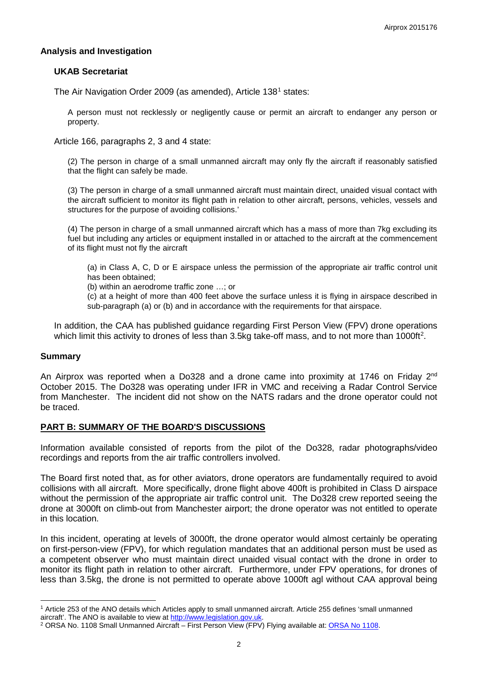## **Analysis and Investigation**

## **UKAB Secretariat**

The Air Navigation Order 2009 (as amended), Article [1](#page-1-0)38<sup>1</sup> states:

A person must not recklessly or negligently cause or permit an aircraft to endanger any person or property.

Article 166, paragraphs 2, 3 and 4 state:

(2) The person in charge of a small unmanned aircraft may only fly the aircraft if reasonably satisfied that the flight can safely be made.

(3) The person in charge of a small unmanned aircraft must maintain direct, unaided visual contact with the aircraft sufficient to monitor its flight path in relation to other aircraft, persons, vehicles, vessels and structures for the purpose of avoiding collisions.'

(4) The person in charge of a small unmanned aircraft which has a mass of more than 7kg excluding its fuel but including any articles or equipment installed in or attached to the aircraft at the commencement of its flight must not fly the aircraft

(a) in Class A, C, D or E airspace unless the permission of the appropriate air traffic control unit has been obtained;

(b) within an aerodrome traffic zone …; or

(c) at a height of more than 400 feet above the surface unless it is flying in airspace described in sub-paragraph (a) or (b) and in accordance with the requirements for that airspace.

In addition, the CAA has published guidance regarding First Person View (FPV) drone operations which limit this activity to drones of less than 3.5kg take-off mass, and to not more than 1000ft<sup>[2](#page-1-1)</sup>.

#### **Summary**

 $\overline{\phantom{a}}$ 

An Airprox was reported when a Do328 and a drone came into proximity at 1746 on Friday 2<sup>nd</sup> October 2015. The Do328 was operating under IFR in VMC and receiving a Radar Control Service from Manchester. The incident did not show on the NATS radars and the drone operator could not be traced.

#### **PART B: SUMMARY OF THE BOARD'S DISCUSSIONS**

Information available consisted of reports from the pilot of the Do328, radar photographs/video recordings and reports from the air traffic controllers involved.

The Board first noted that, as for other aviators, drone operators are fundamentally required to avoid collisions with all aircraft. More specifically, drone flight above 400ft is prohibited in Class D airspace without the permission of the appropriate air traffic control unit. The Do328 crew reported seeing the drone at 3000ft on climb-out from Manchester airport; the drone operator was not entitled to operate in this location.

In this incident, operating at levels of 3000ft, the drone operator would almost certainly be operating on first-person-view (FPV), for which regulation mandates that an additional person must be used as a competent observer who must maintain direct unaided visual contact with the drone in order to monitor its flight path in relation to other aircraft. Furthermore, under FPV operations, for drones of less than 3.5kg, the drone is not permitted to operate above 1000ft agl without CAA approval being

<span id="page-1-0"></span><sup>&</sup>lt;sup>1</sup> Article 253 of the ANO details which Articles apply to small unmanned aircraft. Article 255 defines 'small unmanned aircraft'. The ANO is available to view at http://www.legislation.gov.uk.

<span id="page-1-1"></span><sup>&</sup>lt;sup>2</sup> ORSA No. 1108 Small Unmanned Aircraft – First Person View (FPV) Flying available at: ORSA No 1108.